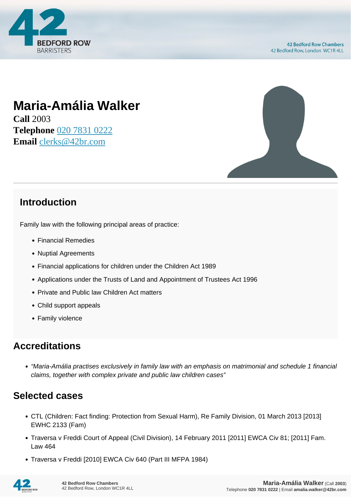

# **Maria-Amália Walker**

**Call** 2003 **Telephone** [020 7831 0222](https://pdf.codeshore.co/_42br/tel:020 7831 0222) **Email** [clerks@42br.com](mailto:clerks@42br.com)



#### **Introduction**

Family law with the following principal areas of practice:

- Financial Remedies
- Nuptial Agreements
- Financial applications for children under the Children Act 1989
- Applications under the Trusts of Land and Appointment of Trustees Act 1996
- Private and Public law Children Act matters
- Child support appeals
- Family violence

### **Accreditations**

"Maria-Amália practises exclusively in family law with an emphasis on matrimonial and schedule 1 financial claims, together with complex private and public law children cases"

### **Selected cases**

- CTL (Children: Fact finding: Protection from Sexual Harm), Re Family Division, 01 March 2013 [2013] EWHC 2133 (Fam)
- Traversa v Freddi Court of Appeal (Civil Division), 14 February 2011 [2011] EWCA Civ 81; [2011] Fam. Law 464
- Traversa v Freddi [2010] EWCA Civ 640 (Part III MFPA 1984)